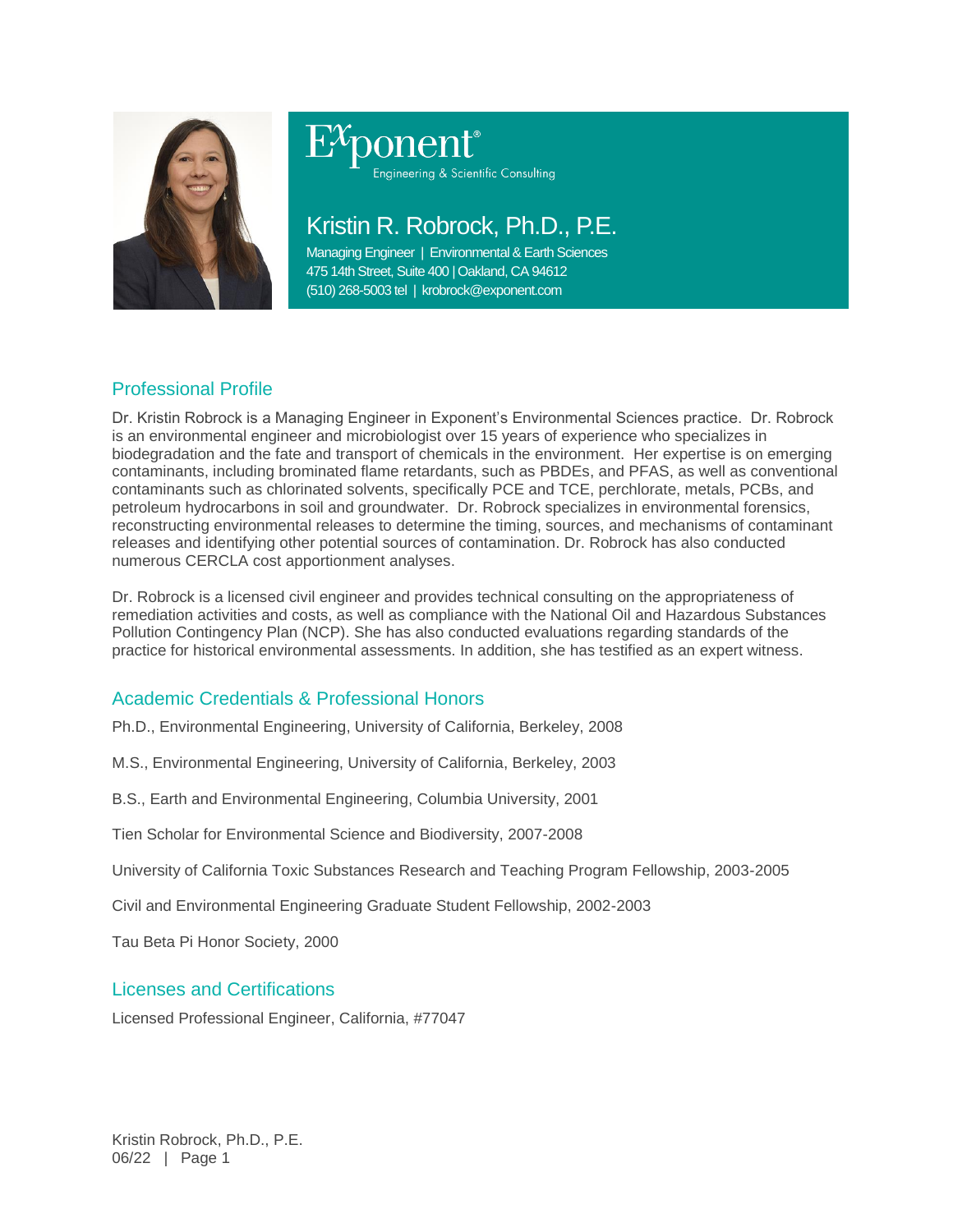

# ponent®

Engineering & Scientific Consulting

# Kristin R. Robrock, Ph.D., P.E.

Managing Engineer | Environmental & Earth Sciences 475 14th Street, Suite 400 | Oakland, CA 94612 (510) 268-5003 tel | krobrock@exponent.com

# Professional Profile

Dr. Kristin Robrock is a Managing Engineer in Exponent's Environmental Sciences practice. Dr. Robrock is an environmental engineer and microbiologist over 15 years of experience who specializes in biodegradation and the fate and transport of chemicals in the environment. Her expertise is on emerging contaminants, including brominated flame retardants, such as PBDEs, and PFAS, as well as conventional contaminants such as chlorinated solvents, specifically PCE and TCE, perchlorate, metals, PCBs, and petroleum hydrocarbons in soil and groundwater. Dr. Robrock specializes in environmental forensics, reconstructing environmental releases to determine the timing, sources, and mechanisms of contaminant releases and identifying other potential sources of contamination. Dr. Robrock has also conducted numerous CERCLA cost apportionment analyses.

Dr. Robrock is a licensed civil engineer and provides technical consulting on the appropriateness of remediation activities and costs, as well as compliance with the National Oil and Hazardous Substances Pollution Contingency Plan (NCP). She has also conducted evaluations regarding standards of the practice for historical environmental assessments. In addition, she has testified as an expert witness.

# Academic Credentials & Professional Honors

Ph.D., Environmental Engineering, University of California, Berkeley, 2008

M.S., Environmental Engineering, University of California, Berkeley, 2003

B.S., Earth and Environmental Engineering, Columbia University, 2001

Tien Scholar for Environmental Science and Biodiversity, 2007-2008

University of California Toxic Substances Research and Teaching Program Fellowship, 2003-2005

Civil and Environmental Engineering Graduate Student Fellowship, 2002-2003

Tau Beta Pi Honor Society, 2000

# Licenses and Certifications

Licensed Professional Engineer, California, #77047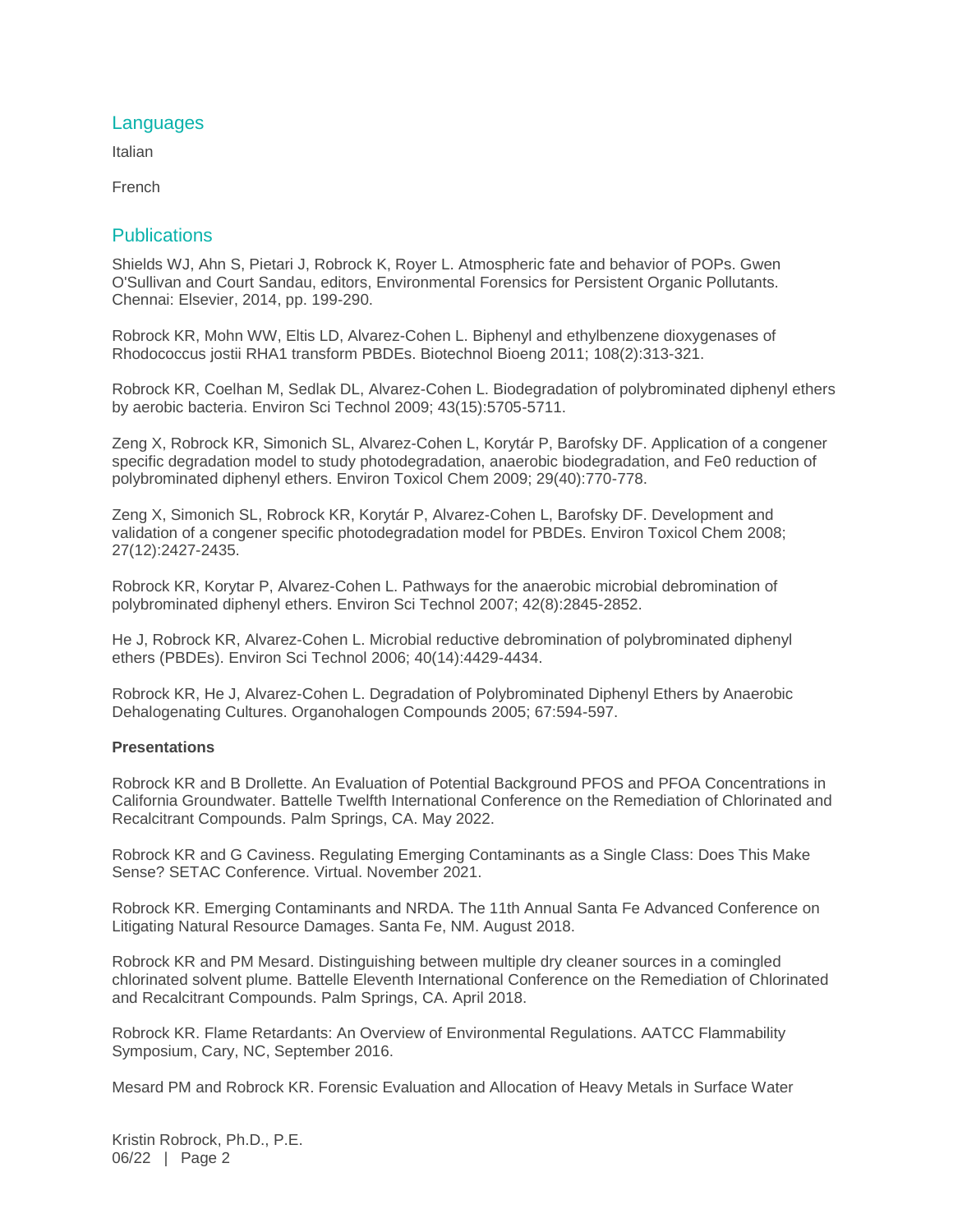# **Languages**

Italian

French

# **Publications**

Shields WJ, Ahn S, Pietari J, Robrock K, Royer L. Atmospheric fate and behavior of POPs. Gwen O'Sullivan and Court Sandau, editors, Environmental Forensics for Persistent Organic Pollutants. Chennai: Elsevier, 2014, pp. 199-290.

Robrock KR, Mohn WW, Eltis LD, Alvarez-Cohen L. Biphenyl and ethylbenzene dioxygenases of Rhodococcus jostii RHA1 transform PBDEs. Biotechnol Bioeng 2011; 108(2):313-321.

Robrock KR, Coelhan M, Sedlak DL, Alvarez-Cohen L. Biodegradation of polybrominated diphenyl ethers by aerobic bacteria. Environ Sci Technol 2009; 43(15):5705-5711.

Zeng X, Robrock KR, Simonich SL, Alvarez-Cohen L, Korytár P, Barofsky DF. Application of a congener specific degradation model to study photodegradation, anaerobic biodegradation, and Fe0 reduction of polybrominated diphenyl ethers. Environ Toxicol Chem 2009; 29(40):770-778.

Zeng X, Simonich SL, Robrock KR, Korytár P, Alvarez-Cohen L, Barofsky DF. Development and validation of a congener specific photodegradation model for PBDEs. Environ Toxicol Chem 2008; 27(12):2427-2435.

Robrock KR, Korytar P, Alvarez-Cohen L. Pathways for the anaerobic microbial debromination of polybrominated diphenyl ethers. Environ Sci Technol 2007; 42(8):2845-2852.

He J, Robrock KR, Alvarez-Cohen L. Microbial reductive debromination of polybrominated diphenyl ethers (PBDEs). Environ Sci Technol 2006; 40(14):4429-4434.

Robrock KR, He J, Alvarez-Cohen L. Degradation of Polybrominated Diphenyl Ethers by Anaerobic Dehalogenating Cultures. Organohalogen Compounds 2005; 67:594-597.

### **Presentations**

Robrock KR and B Drollette. An Evaluation of Potential Background PFOS and PFOA Concentrations in California Groundwater. Battelle Twelfth International Conference on the Remediation of Chlorinated and Recalcitrant Compounds. Palm Springs, CA. May 2022.

Robrock KR and G Caviness. Regulating Emerging Contaminants as a Single Class: Does This Make Sense? SETAC Conference. Virtual. November 2021.

Robrock KR. Emerging Contaminants and NRDA. The 11th Annual Santa Fe Advanced Conference on Litigating Natural Resource Damages. Santa Fe, NM. August 2018.

Robrock KR and PM Mesard. Distinguishing between multiple dry cleaner sources in a comingled chlorinated solvent plume. Battelle Eleventh International Conference on the Remediation of Chlorinated and Recalcitrant Compounds. Palm Springs, CA. April 2018.

Robrock KR. Flame Retardants: An Overview of Environmental Regulations. AATCC Flammability Symposium, Cary, NC, September 2016.

Mesard PM and Robrock KR. Forensic Evaluation and Allocation of Heavy Metals in Surface Water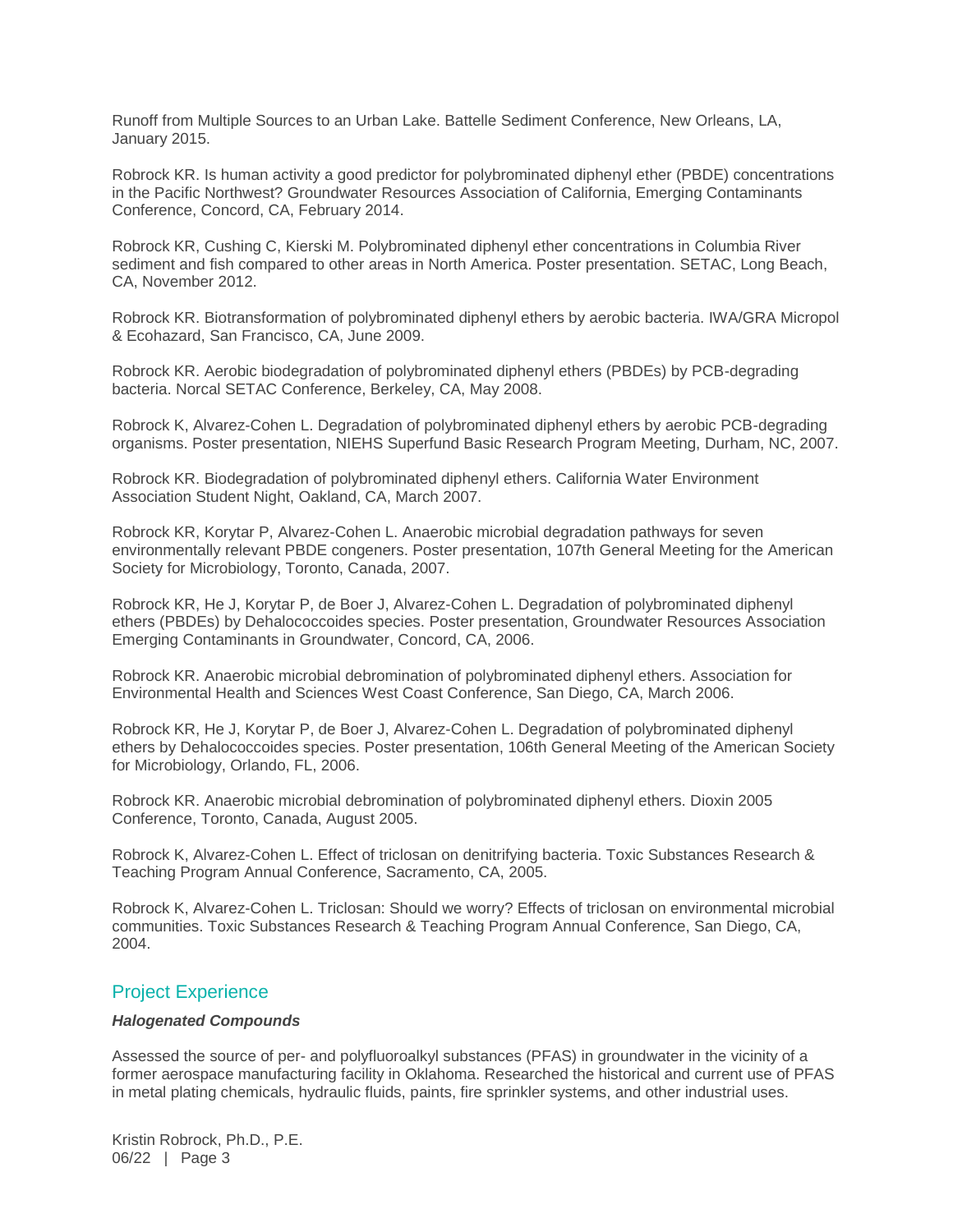Runoff from Multiple Sources to an Urban Lake. Battelle Sediment Conference, New Orleans, LA, January 2015.

Robrock KR. Is human activity a good predictor for polybrominated diphenyl ether (PBDE) concentrations in the Pacific Northwest? Groundwater Resources Association of California, Emerging Contaminants Conference, Concord, CA, February 2014.

Robrock KR, Cushing C, Kierski M. Polybrominated diphenyl ether concentrations in Columbia River sediment and fish compared to other areas in North America. Poster presentation. SETAC, Long Beach, CA, November 2012.

Robrock KR. Biotransformation of polybrominated diphenyl ethers by aerobic bacteria. IWA/GRA Micropol & Ecohazard, San Francisco, CA, June 2009.

Robrock KR. Aerobic biodegradation of polybrominated diphenyl ethers (PBDEs) by PCB-degrading bacteria. Norcal SETAC Conference, Berkeley, CA, May 2008.

Robrock K, Alvarez-Cohen L. Degradation of polybrominated diphenyl ethers by aerobic PCB-degrading organisms. Poster presentation, NIEHS Superfund Basic Research Program Meeting, Durham, NC, 2007.

Robrock KR. Biodegradation of polybrominated diphenyl ethers. California Water Environment Association Student Night, Oakland, CA, March 2007.

Robrock KR, Korytar P, Alvarez-Cohen L. Anaerobic microbial degradation pathways for seven environmentally relevant PBDE congeners. Poster presentation, 107th General Meeting for the American Society for Microbiology, Toronto, Canada, 2007.

Robrock KR, He J, Korytar P, de Boer J, Alvarez-Cohen L. Degradation of polybrominated diphenyl ethers (PBDEs) by Dehalococcoides species. Poster presentation, Groundwater Resources Association Emerging Contaminants in Groundwater, Concord, CA, 2006.

Robrock KR. Anaerobic microbial debromination of polybrominated diphenyl ethers. Association for Environmental Health and Sciences West Coast Conference, San Diego, CA, March 2006.

Robrock KR, He J, Korytar P, de Boer J, Alvarez-Cohen L. Degradation of polybrominated diphenyl ethers by Dehalococcoides species. Poster presentation, 106th General Meeting of the American Society for Microbiology, Orlando, FL, 2006.

Robrock KR. Anaerobic microbial debromination of polybrominated diphenyl ethers. Dioxin 2005 Conference, Toronto, Canada, August 2005.

Robrock K, Alvarez-Cohen L. Effect of triclosan on denitrifying bacteria. Toxic Substances Research & Teaching Program Annual Conference, Sacramento, CA, 2005.

Robrock K, Alvarez-Cohen L. Triclosan: Should we worry? Effects of triclosan on environmental microbial communities. Toxic Substances Research & Teaching Program Annual Conference, San Diego, CA, 2004.

# Project Experience

## *Halogenated Compounds*

Assessed the source of per- and polyfluoroalkyl substances (PFAS) in groundwater in the vicinity of a former aerospace manufacturing facility in Oklahoma. Researched the historical and current use of PFAS in metal plating chemicals, hydraulic fluids, paints, fire sprinkler systems, and other industrial uses.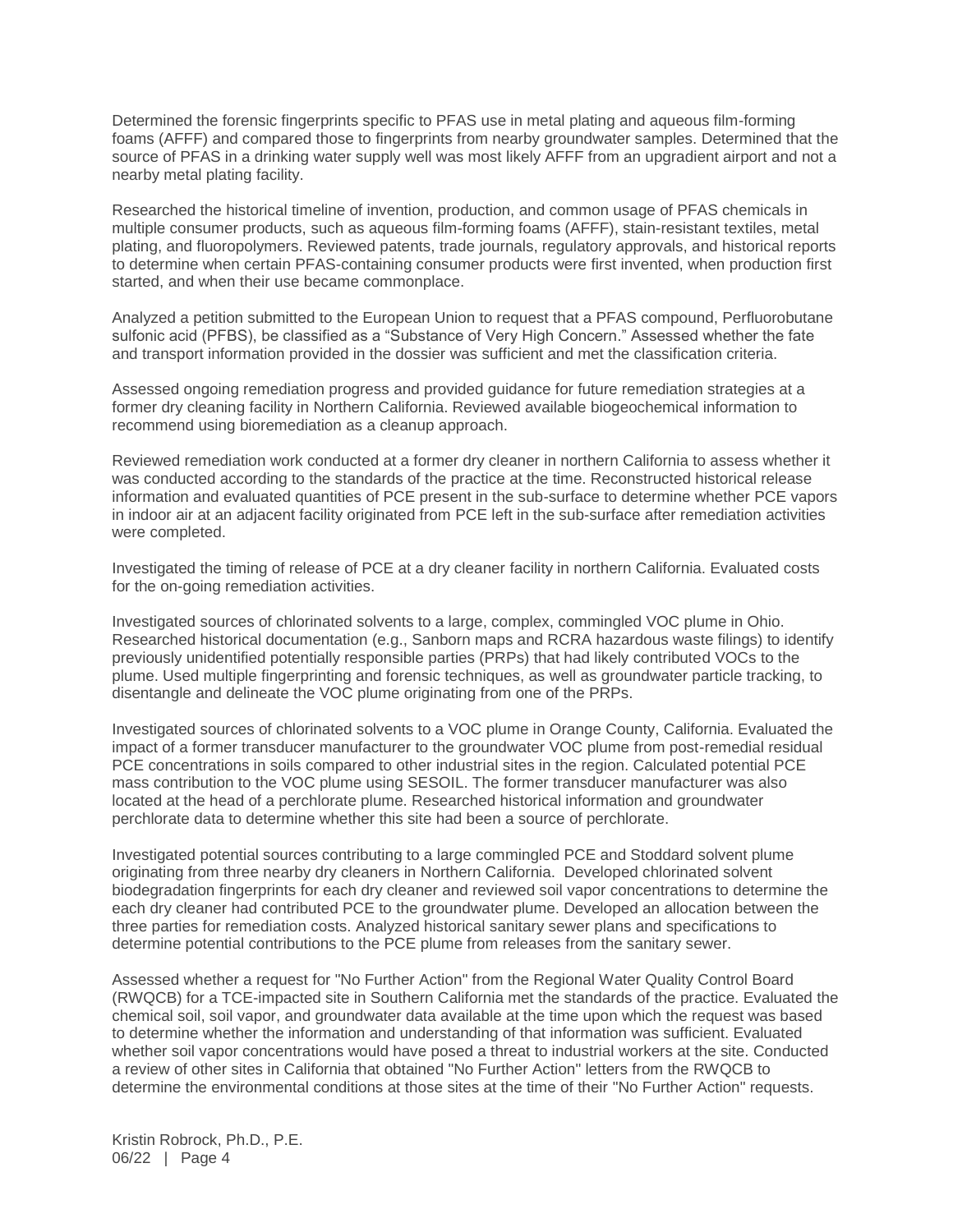Determined the forensic fingerprints specific to PFAS use in metal plating and aqueous film-forming foams (AFFF) and compared those to fingerprints from nearby groundwater samples. Determined that the source of PFAS in a drinking water supply well was most likely AFFF from an upgradient airport and not a nearby metal plating facility.

Researched the historical timeline of invention, production, and common usage of PFAS chemicals in multiple consumer products, such as aqueous film-forming foams (AFFF), stain-resistant textiles, metal plating, and fluoropolymers. Reviewed patents, trade journals, regulatory approvals, and historical reports to determine when certain PFAS-containing consumer products were first invented, when production first started, and when their use became commonplace.

Analyzed a petition submitted to the European Union to request that a PFAS compound, Perfluorobutane sulfonic acid (PFBS), be classified as a "Substance of Very High Concern." Assessed whether the fate and transport information provided in the dossier was sufficient and met the classification criteria.

Assessed ongoing remediation progress and provided guidance for future remediation strategies at a former dry cleaning facility in Northern California. Reviewed available biogeochemical information to recommend using bioremediation as a cleanup approach.

Reviewed remediation work conducted at a former dry cleaner in northern California to assess whether it was conducted according to the standards of the practice at the time. Reconstructed historical release information and evaluated quantities of PCE present in the sub-surface to determine whether PCE vapors in indoor air at an adjacent facility originated from PCE left in the sub-surface after remediation activities were completed.

Investigated the timing of release of PCE at a dry cleaner facility in northern California. Evaluated costs for the on-going remediation activities.

Investigated sources of chlorinated solvents to a large, complex, commingled VOC plume in Ohio. Researched historical documentation (e.g., Sanborn maps and RCRA hazardous waste filings) to identify previously unidentified potentially responsible parties (PRPs) that had likely contributed VOCs to the plume. Used multiple fingerprinting and forensic techniques, as well as groundwater particle tracking, to disentangle and delineate the VOC plume originating from one of the PRPs.

Investigated sources of chlorinated solvents to a VOC plume in Orange County, California. Evaluated the impact of a former transducer manufacturer to the groundwater VOC plume from post-remedial residual PCE concentrations in soils compared to other industrial sites in the region. Calculated potential PCE mass contribution to the VOC plume using SESOIL. The former transducer manufacturer was also located at the head of a perchlorate plume. Researched historical information and groundwater perchlorate data to determine whether this site had been a source of perchlorate.

Investigated potential sources contributing to a large commingled PCE and Stoddard solvent plume originating from three nearby dry cleaners in Northern California. Developed chlorinated solvent biodegradation fingerprints for each dry cleaner and reviewed soil vapor concentrations to determine the each dry cleaner had contributed PCE to the groundwater plume. Developed an allocation between the three parties for remediation costs. Analyzed historical sanitary sewer plans and specifications to determine potential contributions to the PCE plume from releases from the sanitary sewer.

Assessed whether a request for "No Further Action" from the Regional Water Quality Control Board (RWQCB) for a TCE-impacted site in Southern California met the standards of the practice. Evaluated the chemical soil, soil vapor, and groundwater data available at the time upon which the request was based to determine whether the information and understanding of that information was sufficient. Evaluated whether soil vapor concentrations would have posed a threat to industrial workers at the site. Conducted a review of other sites in California that obtained "No Further Action" letters from the RWQCB to determine the environmental conditions at those sites at the time of their "No Further Action" requests.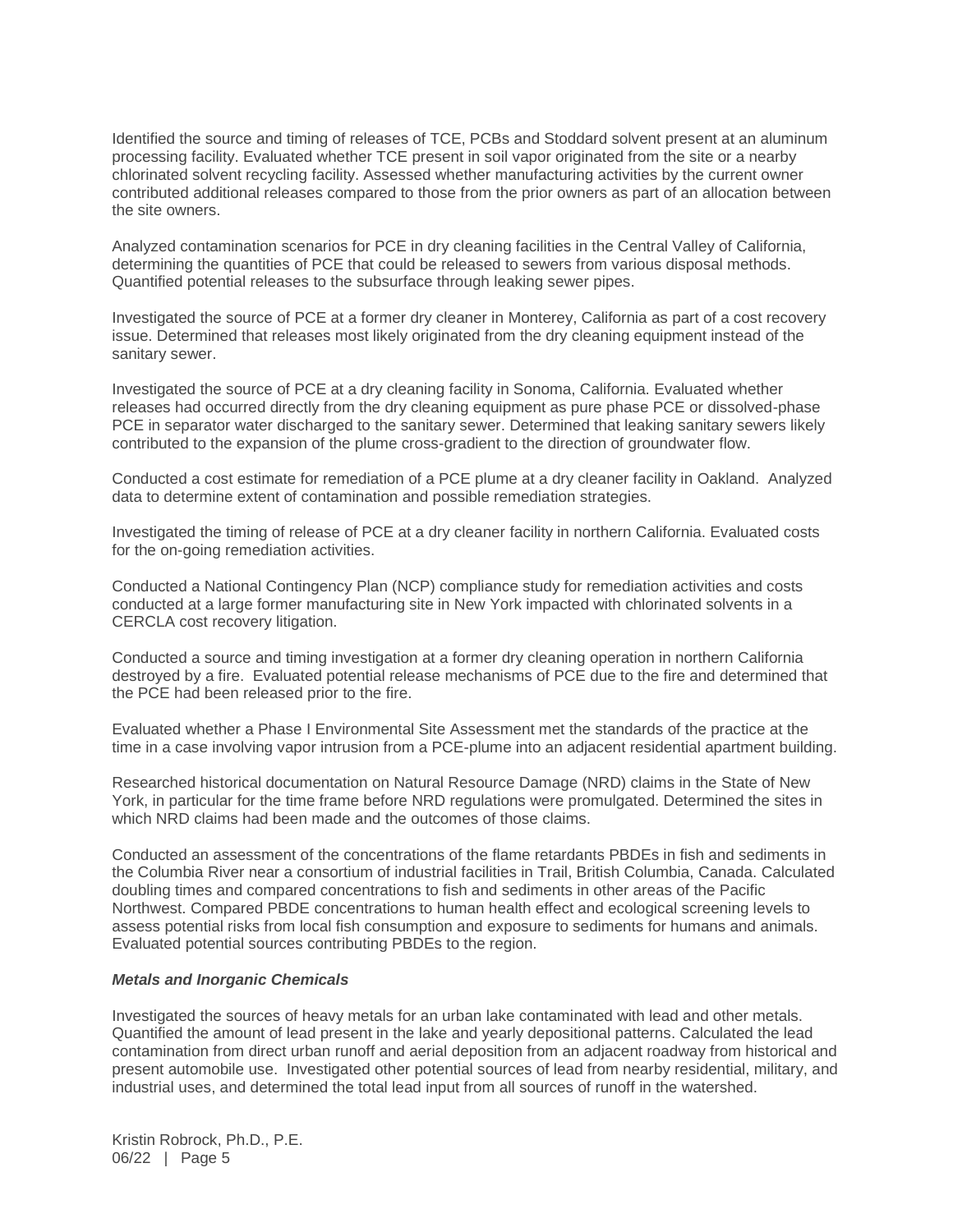Identified the source and timing of releases of TCE, PCBs and Stoddard solvent present at an aluminum processing facility. Evaluated whether TCE present in soil vapor originated from the site or a nearby chlorinated solvent recycling facility. Assessed whether manufacturing activities by the current owner contributed additional releases compared to those from the prior owners as part of an allocation between the site owners.

Analyzed contamination scenarios for PCE in dry cleaning facilities in the Central Valley of California, determining the quantities of PCE that could be released to sewers from various disposal methods. Quantified potential releases to the subsurface through leaking sewer pipes.

Investigated the source of PCE at a former dry cleaner in Monterey, California as part of a cost recovery issue. Determined that releases most likely originated from the dry cleaning equipment instead of the sanitary sewer.

Investigated the source of PCE at a dry cleaning facility in Sonoma, California. Evaluated whether releases had occurred directly from the dry cleaning equipment as pure phase PCE or dissolved-phase PCE in separator water discharged to the sanitary sewer. Determined that leaking sanitary sewers likely contributed to the expansion of the plume cross-gradient to the direction of groundwater flow.

Conducted a cost estimate for remediation of a PCE plume at a dry cleaner facility in Oakland. Analyzed data to determine extent of contamination and possible remediation strategies.

Investigated the timing of release of PCE at a dry cleaner facility in northern California. Evaluated costs for the on-going remediation activities.

Conducted a National Contingency Plan (NCP) compliance study for remediation activities and costs conducted at a large former manufacturing site in New York impacted with chlorinated solvents in a CERCLA cost recovery litigation.

Conducted a source and timing investigation at a former dry cleaning operation in northern California destroyed by a fire. Evaluated potential release mechanisms of PCE due to the fire and determined that the PCE had been released prior to the fire.

Evaluated whether a Phase I Environmental Site Assessment met the standards of the practice at the time in a case involving vapor intrusion from a PCE-plume into an adjacent residential apartment building.

Researched historical documentation on Natural Resource Damage (NRD) claims in the State of New York, in particular for the time frame before NRD regulations were promulgated. Determined the sites in which NRD claims had been made and the outcomes of those claims.

Conducted an assessment of the concentrations of the flame retardants PBDEs in fish and sediments in the Columbia River near a consortium of industrial facilities in Trail, British Columbia, Canada. Calculated doubling times and compared concentrations to fish and sediments in other areas of the Pacific Northwest. Compared PBDE concentrations to human health effect and ecological screening levels to assess potential risks from local fish consumption and exposure to sediments for humans and animals. Evaluated potential sources contributing PBDEs to the region.

### *Metals and Inorganic Chemicals*

Investigated the sources of heavy metals for an urban lake contaminated with lead and other metals. Quantified the amount of lead present in the lake and yearly depositional patterns. Calculated the lead contamination from direct urban runoff and aerial deposition from an adjacent roadway from historical and present automobile use. Investigated other potential sources of lead from nearby residential, military, and industrial uses, and determined the total lead input from all sources of runoff in the watershed.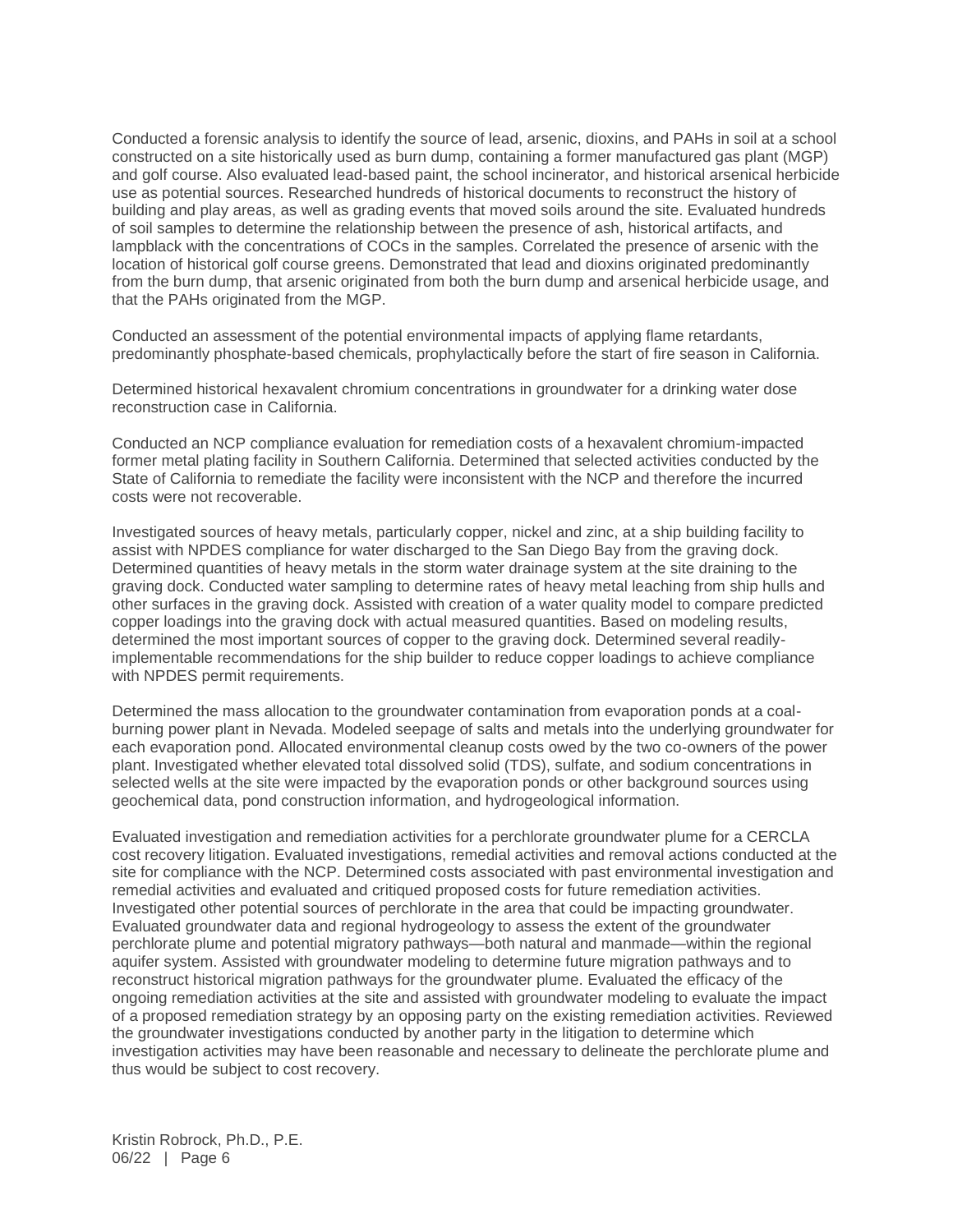Conducted a forensic analysis to identify the source of lead, arsenic, dioxins, and PAHs in soil at a school constructed on a site historically used as burn dump, containing a former manufactured gas plant (MGP) and golf course. Also evaluated lead-based paint, the school incinerator, and historical arsenical herbicide use as potential sources. Researched hundreds of historical documents to reconstruct the history of building and play areas, as well as grading events that moved soils around the site. Evaluated hundreds of soil samples to determine the relationship between the presence of ash, historical artifacts, and lampblack with the concentrations of COCs in the samples. Correlated the presence of arsenic with the location of historical golf course greens. Demonstrated that lead and dioxins originated predominantly from the burn dump, that arsenic originated from both the burn dump and arsenical herbicide usage, and that the PAHs originated from the MGP.

Conducted an assessment of the potential environmental impacts of applying flame retardants, predominantly phosphate-based chemicals, prophylactically before the start of fire season in California.

Determined historical hexavalent chromium concentrations in groundwater for a drinking water dose reconstruction case in California.

Conducted an NCP compliance evaluation for remediation costs of a hexavalent chromium-impacted former metal plating facility in Southern California. Determined that selected activities conducted by the State of California to remediate the facility were inconsistent with the NCP and therefore the incurred costs were not recoverable.

Investigated sources of heavy metals, particularly copper, nickel and zinc, at a ship building facility to assist with NPDES compliance for water discharged to the San Diego Bay from the graving dock. Determined quantities of heavy metals in the storm water drainage system at the site draining to the graving dock. Conducted water sampling to determine rates of heavy metal leaching from ship hulls and other surfaces in the graving dock. Assisted with creation of a water quality model to compare predicted copper loadings into the graving dock with actual measured quantities. Based on modeling results, determined the most important sources of copper to the graving dock. Determined several readilyimplementable recommendations for the ship builder to reduce copper loadings to achieve compliance with NPDES permit requirements.

Determined the mass allocation to the groundwater contamination from evaporation ponds at a coalburning power plant in Nevada. Modeled seepage of salts and metals into the underlying groundwater for each evaporation pond. Allocated environmental cleanup costs owed by the two co-owners of the power plant. Investigated whether elevated total dissolved solid (TDS), sulfate, and sodium concentrations in selected wells at the site were impacted by the evaporation ponds or other background sources using geochemical data, pond construction information, and hydrogeological information.

Evaluated investigation and remediation activities for a perchlorate groundwater plume for a CERCLA cost recovery litigation. Evaluated investigations, remedial activities and removal actions conducted at the site for compliance with the NCP. Determined costs associated with past environmental investigation and remedial activities and evaluated and critiqued proposed costs for future remediation activities. Investigated other potential sources of perchlorate in the area that could be impacting groundwater. Evaluated groundwater data and regional hydrogeology to assess the extent of the groundwater perchlorate plume and potential migratory pathways—both natural and manmade—within the regional aquifer system. Assisted with groundwater modeling to determine future migration pathways and to reconstruct historical migration pathways for the groundwater plume. Evaluated the efficacy of the ongoing remediation activities at the site and assisted with groundwater modeling to evaluate the impact of a proposed remediation strategy by an opposing party on the existing remediation activities. Reviewed the groundwater investigations conducted by another party in the litigation to determine which investigation activities may have been reasonable and necessary to delineate the perchlorate plume and thus would be subject to cost recovery.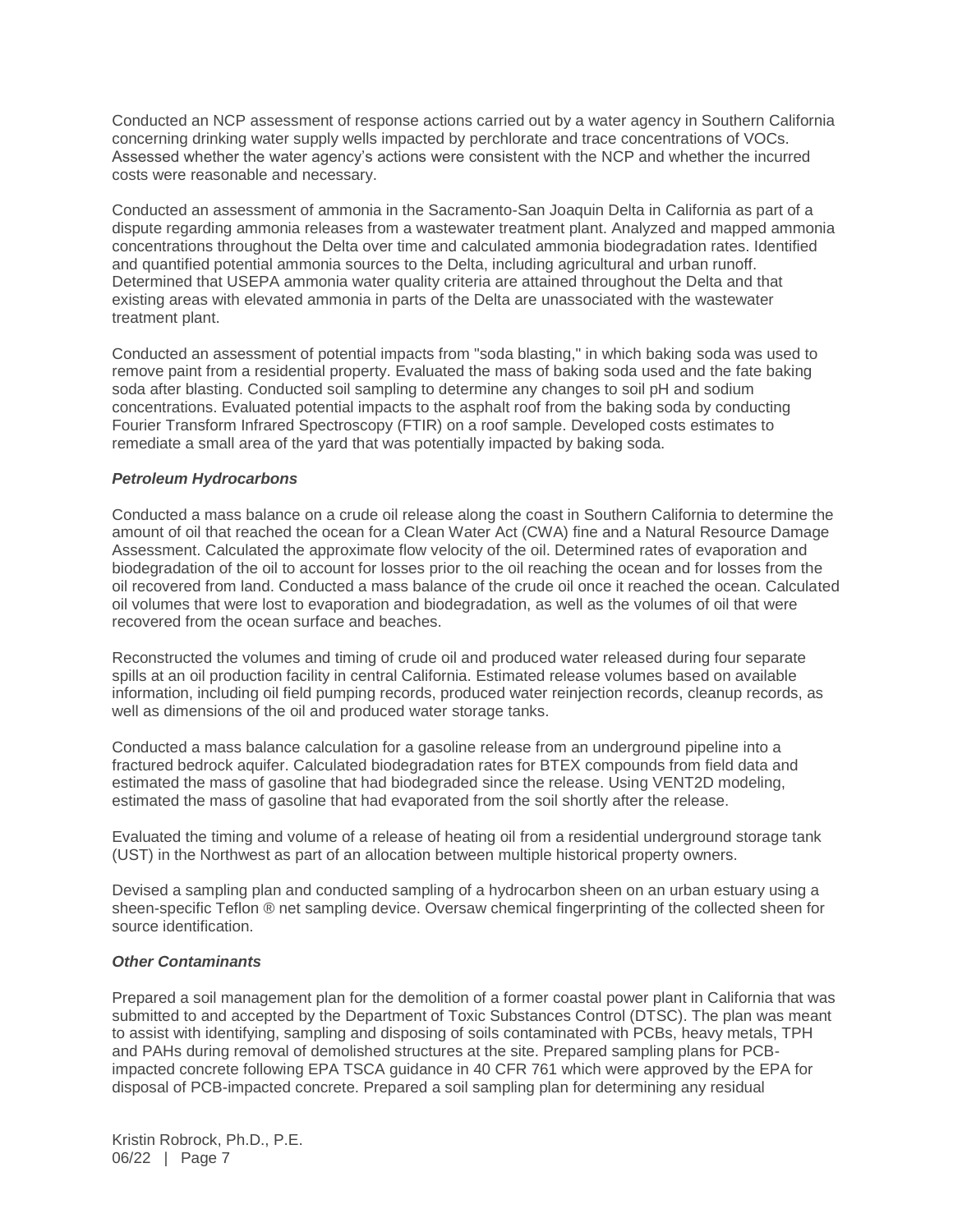Conducted an NCP assessment of response actions carried out by a water agency in Southern California concerning drinking water supply wells impacted by perchlorate and trace concentrations of VOCs. Assessed whether the water agency's actions were consistent with the NCP and whether the incurred costs were reasonable and necessary.

Conducted an assessment of ammonia in the Sacramento-San Joaquin Delta in California as part of a dispute regarding ammonia releases from a wastewater treatment plant. Analyzed and mapped ammonia concentrations throughout the Delta over time and calculated ammonia biodegradation rates. Identified and quantified potential ammonia sources to the Delta, including agricultural and urban runoff. Determined that USEPA ammonia water quality criteria are attained throughout the Delta and that existing areas with elevated ammonia in parts of the Delta are unassociated with the wastewater treatment plant.

Conducted an assessment of potential impacts from "soda blasting," in which baking soda was used to remove paint from a residential property. Evaluated the mass of baking soda used and the fate baking soda after blasting. Conducted soil sampling to determine any changes to soil pH and sodium concentrations. Evaluated potential impacts to the asphalt roof from the baking soda by conducting Fourier Transform Infrared Spectroscopy (FTIR) on a roof sample. Developed costs estimates to remediate a small area of the yard that was potentially impacted by baking soda.

### *Petroleum Hydrocarbons*

Conducted a mass balance on a crude oil release along the coast in Southern California to determine the amount of oil that reached the ocean for a Clean Water Act (CWA) fine and a Natural Resource Damage Assessment. Calculated the approximate flow velocity of the oil. Determined rates of evaporation and biodegradation of the oil to account for losses prior to the oil reaching the ocean and for losses from the oil recovered from land. Conducted a mass balance of the crude oil once it reached the ocean. Calculated oil volumes that were lost to evaporation and biodegradation, as well as the volumes of oil that were recovered from the ocean surface and beaches.

Reconstructed the volumes and timing of crude oil and produced water released during four separate spills at an oil production facility in central California. Estimated release volumes based on available information, including oil field pumping records, produced water reinjection records, cleanup records, as well as dimensions of the oil and produced water storage tanks.

Conducted a mass balance calculation for a gasoline release from an underground pipeline into a fractured bedrock aquifer. Calculated biodegradation rates for BTEX compounds from field data and estimated the mass of gasoline that had biodegraded since the release. Using VENT2D modeling, estimated the mass of gasoline that had evaporated from the soil shortly after the release.

Evaluated the timing and volume of a release of heating oil from a residential underground storage tank (UST) in the Northwest as part of an allocation between multiple historical property owners.

Devised a sampling plan and conducted sampling of a hydrocarbon sheen on an urban estuary using a sheen-specific Teflon ® net sampling device. Oversaw chemical fingerprinting of the collected sheen for source identification.

### *Other Contaminants*

Prepared a soil management plan for the demolition of a former coastal power plant in California that was submitted to and accepted by the Department of Toxic Substances Control (DTSC). The plan was meant to assist with identifying, sampling and disposing of soils contaminated with PCBs, heavy metals, TPH and PAHs during removal of demolished structures at the site. Prepared sampling plans for PCBimpacted concrete following EPA TSCA guidance in 40 CFR 761 which were approved by the EPA for disposal of PCB-impacted concrete. Prepared a soil sampling plan for determining any residual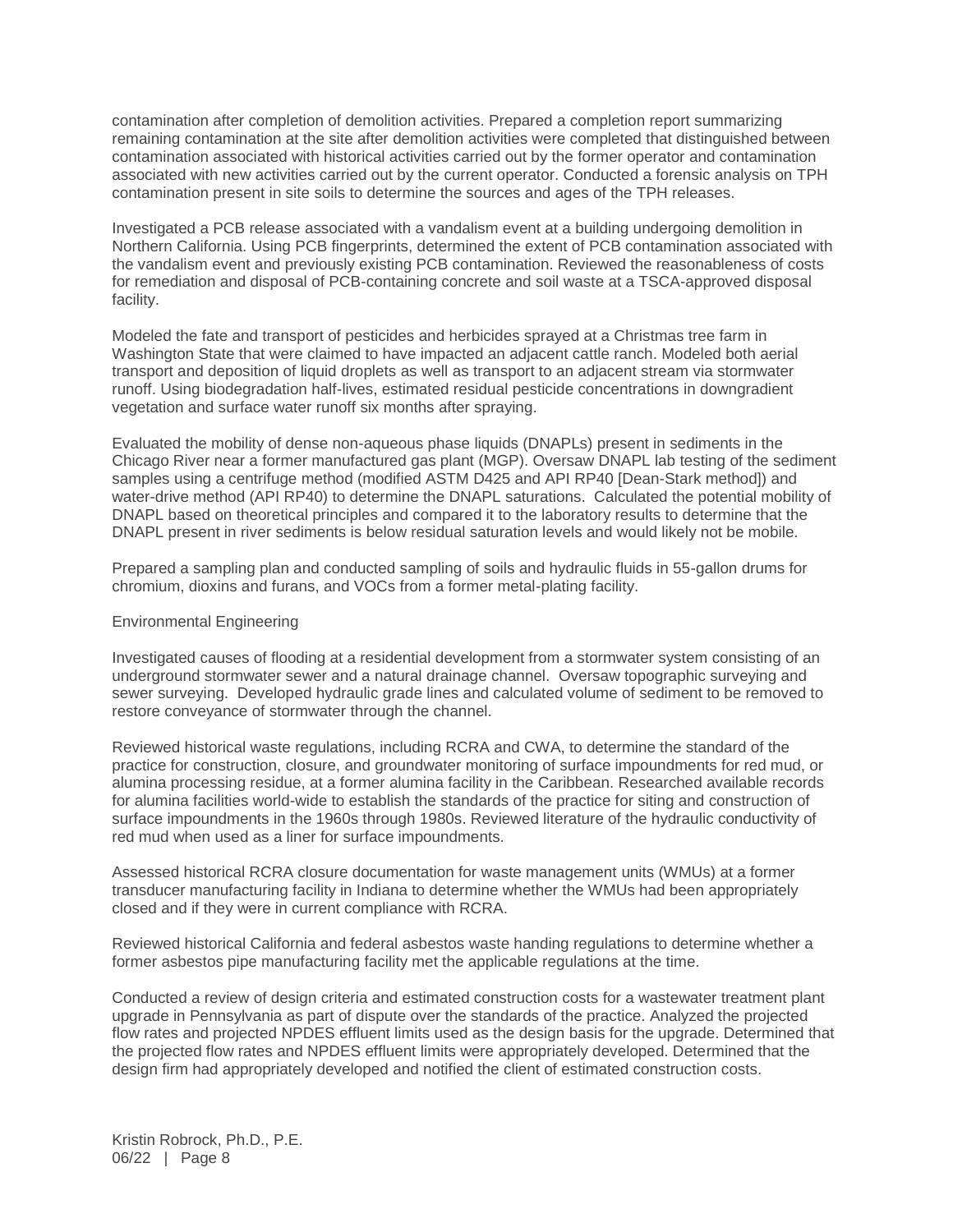contamination after completion of demolition activities. Prepared a completion report summarizing remaining contamination at the site after demolition activities were completed that distinguished between contamination associated with historical activities carried out by the former operator and contamination associated with new activities carried out by the current operator. Conducted a forensic analysis on TPH contamination present in site soils to determine the sources and ages of the TPH releases.

Investigated a PCB release associated with a vandalism event at a building undergoing demolition in Northern California. Using PCB fingerprints, determined the extent of PCB contamination associated with the vandalism event and previously existing PCB contamination. Reviewed the reasonableness of costs for remediation and disposal of PCB-containing concrete and soil waste at a TSCA-approved disposal facility.

Modeled the fate and transport of pesticides and herbicides sprayed at a Christmas tree farm in Washington State that were claimed to have impacted an adjacent cattle ranch. Modeled both aerial transport and deposition of liquid droplets as well as transport to an adjacent stream via stormwater runoff. Using biodegradation half-lives, estimated residual pesticide concentrations in downgradient vegetation and surface water runoff six months after spraying.

Evaluated the mobility of dense non-aqueous phase liquids (DNAPLs) present in sediments in the Chicago River near a former manufactured gas plant (MGP). Oversaw DNAPL lab testing of the sediment samples using a centrifuge method (modified ASTM D425 and API RP40 [Dean-Stark method]) and water-drive method (API RP40) to determine the DNAPL saturations. Calculated the potential mobility of DNAPL based on theoretical principles and compared it to the laboratory results to determine that the DNAPL present in river sediments is below residual saturation levels and would likely not be mobile.

Prepared a sampling plan and conducted sampling of soils and hydraulic fluids in 55-gallon drums for chromium, dioxins and furans, and VOCs from a former metal-plating facility.

#### Environmental Engineering

Investigated causes of flooding at a residential development from a stormwater system consisting of an underground stormwater sewer and a natural drainage channel. Oversaw topographic surveying and sewer surveying. Developed hydraulic grade lines and calculated volume of sediment to be removed to restore conveyance of stormwater through the channel.

Reviewed historical waste regulations, including RCRA and CWA, to determine the standard of the practice for construction, closure, and groundwater monitoring of surface impoundments for red mud, or alumina processing residue, at a former alumina facility in the Caribbean. Researched available records for alumina facilities world-wide to establish the standards of the practice for siting and construction of surface impoundments in the 1960s through 1980s. Reviewed literature of the hydraulic conductivity of red mud when used as a liner for surface impoundments.

Assessed historical RCRA closure documentation for waste management units (WMUs) at a former transducer manufacturing facility in Indiana to determine whether the WMUs had been appropriately closed and if they were in current compliance with RCRA.

Reviewed historical California and federal asbestos waste handing regulations to determine whether a former asbestos pipe manufacturing facility met the applicable regulations at the time.

Conducted a review of design criteria and estimated construction costs for a wastewater treatment plant upgrade in Pennsylvania as part of dispute over the standards of the practice. Analyzed the projected flow rates and projected NPDES effluent limits used as the design basis for the upgrade. Determined that the projected flow rates and NPDES effluent limits were appropriately developed. Determined that the design firm had appropriately developed and notified the client of estimated construction costs.